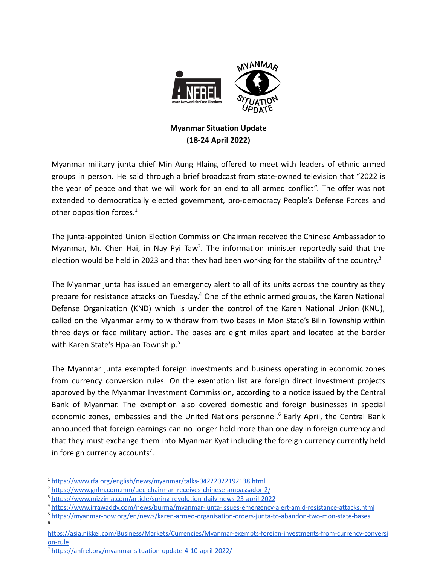

## **Myanmar Situation Update (18-24 April 2022)**

Myanmar military junta chief Min Aung Hlaing offered to meet with leaders of ethnic armed groups in person. He said through a brief broadcast from state-owned television that "2022 is the year of peace and that we will work for an end to all armed conflict". The offer was not extended to democratically elected government, pro-democracy People's Defense Forces and other opposition forces.<sup>1</sup>

The junta-appointed Union Election Commission Chairman received the Chinese Ambassador to Myanmar, Mr. Chen Hai, in Nay Pyi Taw<sup>2</sup>. The information minister reportedly said that the election would be held in 2023 and that they had been working for the stability of the country.<sup>3</sup>

The Myanmar junta has issued an emergency alert to all of its units across the country as they prepare for resistance attacks on Tuesday.<sup>4</sup> One of the ethnic armed groups, the Karen National Defense Organization (KND) which is under the control of the Karen National Union (KNU), called on the Myanmar army to withdraw from two bases in Mon State's Bilin Township within three days or face military action. The bases are eight miles apart and located at the border with Karen State's Hpa-an Township.<sup>5</sup>

The Myanmar junta exempted foreign investments and business operating in economic zones from currency conversion rules. On the exemption list are foreign direct investment projects approved by the Myanmar Investment Commission, according to a notice issued by the Central Bank of Myanmar. The exemption also covered domestic and foreign businesses in special economic zones, embassies and the United Nations personnel.<sup>6</sup> Early April, the Central Bank announced that foreign earnings can no longer hold more than one day in foreign currency and that they must exchange them into Myanmar Kyat including the foreign currency currently held in foreign currency accounts<sup>7</sup>.

<sup>4</sup> <https://www.irrawaddy.com/news/burma/myanmar-junta-issues-emergency-alert-amid-resistance-attacks.html>

6

<sup>&</sup>lt;sup>1</sup> <https://www.rfa.org/english/news/myanmar/talks-04222022192138.html>

<sup>2</sup> <https://www.gnlm.com.mm/uec-chairman-receives-chinese-ambassador-2/>

<sup>3</sup> <https://www.mizzima.com/article/spring-revolution-daily-news-23-april-2022>

<sup>5</sup> <https://myanmar-now.org/en/news/karen-armed-organisation-orders-junta-to-abandon-two-mon-state-bases>

[https://asia.nikkei.com/Business/Markets/Currencies/Myanmar-exempts-foreign-investments-from-currency-conversi](https://asia.nikkei.com/Business/Markets/Currencies/Myanmar-exempts-foreign-investments-from-currency-conversion-rule) [on-rule](https://asia.nikkei.com/Business/Markets/Currencies/Myanmar-exempts-foreign-investments-from-currency-conversion-rule)

<sup>7</sup> <https://anfrel.org/myanmar-situation-update-4-10-april-2022/>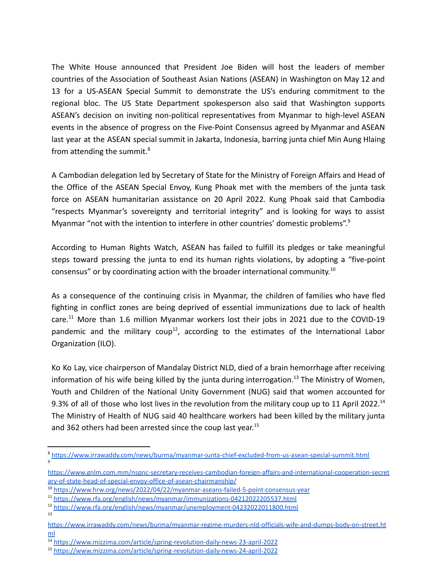The White House announced that President Joe Biden will host the leaders of member countries of the Association of Southeast Asian Nations (ASEAN) in Washington on May 12 and 13 for a US-ASEAN Special Summit to demonstrate the US's enduring commitment to the regional bloc. The US State Department spokesperson also said that Washington supports ASEAN's decision on inviting non-political representatives from Myanmar to high-level ASEAN events in the absence of progress on the Five-Point Consensus agreed by Myanmar and ASEAN last year at the ASEAN special summit in Jakarta, Indonesia, barring junta chief Min Aung Hlaing from attending the summit. $8$ 

A Cambodian delegation led by Secretary of State for the Ministry of Foreign Affairs and Head of the Office of the ASEAN Special Envoy, Kung Phoak met with the members of the junta task force on ASEAN humanitarian assistance on 20 April 2022. Kung Phoak said that Cambodia "respects Myanmar's sovereignty and territorial integrity" and is looking for ways to assist Myanmar "not with the intention to interfere in other countries' domestic problems".<sup>9</sup>

According to Human Rights Watch, ASEAN has failed to fulfill its pledges or take meaningful steps toward pressing the junta to end its human rights violations, by adopting a "five-point consensus" or by coordinating action with the broader international community.<sup>10</sup>

As a consequence of the continuing crisis in Myanmar, the children of families who have fled fighting in conflict zones are being deprived of essential immunizations due to lack of health care.<sup>11</sup> More than 1.6 million Myanmar workers lost their jobs in 2021 due to the COVID-19 pandemic and the military coup<sup>12</sup>, according to the estimates of the International Labor Organization (ILO).

Ko Ko Lay, vice chairperson of Mandalay District NLD, died of a brain hemorrhage after receiving information of his wife being killed by the junta during interrogation.<sup>13</sup> The Ministry of Women, Youth and Children of the National Unity Government (NUG) said that women accounted for 9.3% of all of those who lost lives in the revolution from the military coup up to 11 April 2022.<sup>14</sup> The Ministry of Health of NUG said 40 healthcare workers had been killed by the military junta and 362 others had been arrested since the coup last year. 15

<sup>9</sup> <sup>8</sup> <https://www.irrawaddy.com/news/burma/myanmar-junta-chief-excluded-from-us-asean-special-summit.html>

[https://www.gnlm.com.mm/nspnc-secretary-receives-cambodian-foreign-affairs-and-international-cooperation-secret](https://www.gnlm.com.mm/nspnc-secretary-receives-cambodian-foreign-affairs-and-international-cooperation-secretary-of-state-head-of-special-envoy-office-of-asean-chairmanship/) [ary-of-state-head-of-special-envoy-office-of-asean-chairmanship/](https://www.gnlm.com.mm/nspnc-secretary-receives-cambodian-foreign-affairs-and-international-cooperation-secretary-of-state-head-of-special-envoy-office-of-asean-chairmanship/)

<sup>10</sup> <https://www.hrw.org/news/2022/04/22/myanmar-aseans-failed-5-point-consensus-year>

<sup>11</sup> <https://www.rfa.org/english/news/myanmar/immunizations-04212022205537.html>

<sup>13</sup> <sup>12</sup> <https://www.rfa.org/english/news/myanmar/unemployment-04232022011800.html>

[https://www.irrawaddy.com/news/burma/myanmar-regime-murders-nld-officials-wife-and-dumps-body-on-street.ht](https://www.irrawaddy.com/news/burma/myanmar-regime-murders-nld-officials-wife-and-dumps-body-on-street.html) [ml](https://www.irrawaddy.com/news/burma/myanmar-regime-murders-nld-officials-wife-and-dumps-body-on-street.html)

<sup>14</sup> <https://www.mizzima.com/article/spring-revolution-daily-news-23-april-2022>

<sup>15</sup> <https://www.mizzima.com/article/spring-revolution-daily-news-24-april-2022>